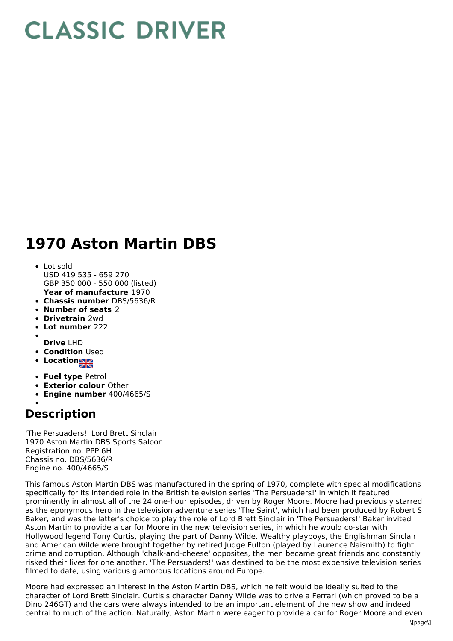## **CLASSIC DRIVER**

## **1970 Aston Martin DBS**

- **Year of manufacture** 1970 Lot sold USD 419 535 - 659 270 GBP 350 000 - 550 000 (listed)
- **Chassis number** DBS/5636/R
- **Number of seats** 2
- **Drivetrain** 2wd
- **Lot number** 222
- 
- **Drive** LHD
- **Condition Used**
- **Location**
- **Fuel type** Petrol
- **Exterior colour** Other
- **Engine number** 400/4665/S

## **Description**

'The Persuaders!' Lord Brett Sinclair 1970 Aston Martin DBS Sports Saloon Registration no. PPP 6H Chassis no. DBS/5636/R Engine no. 400/4665/S

This famous Aston Martin DBS was manufactured in the spring of 1970, complete with special modifications specifically for its intended role in the British television series 'The Persuaders!' in which it featured prominently in almost all of the 24 one-hour episodes, driven by Roger Moore. Moore had previously starred as the eponymous hero in the television adventure series 'The Saint', which had been produced by Robert S Baker, and was the latter's choice to play the role of Lord Brett Sinclair in 'The Persuaders!' Baker invited Aston Martin to provide a car for Moore in the new television series, in which he would co-star with Hollywood legend Tony Curtis, playing the part of Danny Wilde. Wealthy playboys, the Englishman Sinclair and American Wilde were brought together by retired Judge Fulton (played by Laurence Naismith) to fight crime and corruption. Although 'chalk-and-cheese' opposites, the men became great friends and constantly risked their lives for one another. 'The Persuaders!' was destined to be the most expensive television series filmed to date, using various glamorous locations around Europe.

Moore had expressed an interest in the Aston Martin DBS, which he felt would be ideally suited to the character of Lord Brett Sinclair. Curtis's character Danny Wilde was to drive a Ferrari (which proved to be a Dino 246GT) and the cars were always intended to be an important element of the new show and indeed central to much of the action. Naturally, Aston Martin were eager to provide a car for Roger Moore and even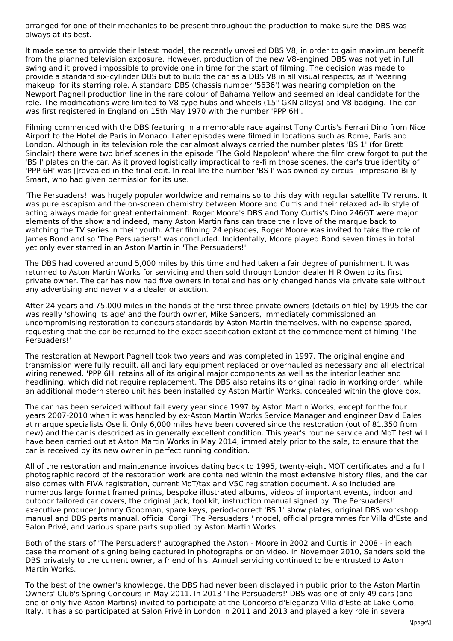arranged for one of their mechanics to be present throughout the production to make sure the DBS was always at its best.

It made sense to provide their latest model, the recently unveiled DBS V8, in order to gain maximum benefit from the planned television exposure. However, production of the new V8-engined DBS was not yet in full swing and it proved impossible to provide one in time for the start of filming. The decision was made to provide a standard six-cylinder DBS but to build the car as a DBS V8 in all visual respects, as if 'wearing makeup' for its starring role. A standard DBS (chassis number '5636') was nearing completion on the Newport Pagnell production line in the rare colour of Bahama Yellow and seemed an ideal candidate for the role. The modifications were limited to V8-type hubs and wheels (15" GKN alloys) and V8 badging. The car was first registered in England on 15th May 1970 with the number 'PPP 6H'.

Filming commenced with the DBS featuring in a memorable race against Tony Curtis's Ferrari Dino from Nice Airport to the Hotel de Paris in Monaco. Later episodes were filmed in locations such as Rome, Paris and London. Although in its television role the car almost always carried the number plates 'BS 1' (for Brett Sinclair) there were two brief scenes in the episode 'The Gold Napoleon' where the film crew forgot to put the 'BS l' plates on the car. As it proved logistically impractical to re-film those scenes, the car's true identity of 'PPP 6H' was  $\Box$ revealed in the final edit. In real life the number 'BS I' was owned by circus  $\Box$ impresario Billy Smart, who had given permission for its use.

'The Persuaders!' was hugely popular worldwide and remains so to this day with regular satellite TV reruns. It was pure escapism and the on-screen chemistry between Moore and Curtis and their relaxed ad-lib style of acting always made for great entertainment. Roger Moore's DBS and Tony Curtis's Dino 246GT were major elements of the show and indeed, many Aston Martin fans can trace their love of the marque back to watching the TV series in their youth. After filming 24 episodes, Roger Moore was invited to take the role of James Bond and so 'The Persuaders!' was concluded. Incidentally, Moore played Bond seven times in total yet only ever starred in an Aston Martin in 'The Persuaders!'

The DBS had covered around 5,000 miles by this time and had taken a fair degree of punishment. It was returned to Aston Martin Works for servicing and then sold through London dealer H R Owen to its first private owner. The car has now had five owners in total and has only changed hands via private sale without any advertising and never via a dealer or auction.

After 24 years and 75,000 miles in the hands of the first three private owners (details on file) by 1995 the car was really 'showing its age' and the fourth owner, Mike Sanders, immediately commissioned an uncompromising restoration to concours standards by Aston Martin themselves, with no expense spared, requesting that the car be returned to the exact specification extant at the commencement of filming 'The Persuaders!'

The restoration at Newport Pagnell took two years and was completed in 1997. The original engine and transmission were fully rebuilt, all ancillary equipment replaced or overhauled as necessary and all electrical wiring renewed. 'PPP 6H' retains all of its original major components as well as the interior leather and headlining, which did not require replacement. The DBS also retains its original radio in working order, while an additional modern stereo unit has been installed by Aston Martin Works, concealed within the glove box.

The car has been serviced without fail every year since 1997 by Aston Martin Works, except for the four years 2007-2010 when it was handled by ex-Aston Martin Works Service Manager and engineer David Eales at marque specialists Oselli. Only 6,000 miles have been covered since the restoration (out of 81,350 from new) and the car is described as in generally excellent condition. This year's routine service and MoT test will have been carried out at Aston Martin Works in May 2014, immediately prior to the sale, to ensure that the car is received by its new owner in perfect running condition.

All of the restoration and maintenance invoices dating back to 1995, twenty-eight MOT certificates and a full photographic record of the restoration work are contained within the most extensive history files, and the car also comes with FIVA registration, current MoT/tax and V5C registration document. Also included are numerous large format framed prints, bespoke illustrated albums, videos of important events, indoor and outdoor tailored car covers, the original jack, tool kit, instruction manual signed by 'The Persuaders!' executive producer Johnny Goodman, spare keys, period-correct 'BS 1' show plates, original DBS workshop manual and DBS parts manual, official Corgi 'The Persuaders!' model, official programmes for Villa d'Este and Salon Privé, and various spare parts supplied by Aston Martin Works.

Both of the stars of 'The Persuaders!' autographed the Aston - Moore in 2002 and Curtis in 2008 - in each case the moment of signing being captured in photographs or on video. In November 2010, Sanders sold the DBS privately to the current owner, a friend of his. Annual servicing continued to be entrusted to Aston Martin Works.

To the best of the owner's knowledge, the DBS had never been displayed in public prior to the Aston Martin Owners' Club's Spring Concours in May 2011. In 2013 'The Persuaders!' DBS was one of only 49 cars (and one of only five Aston Martins) invited to participate at the Concorso d'Eleganza Villa d'Este at Lake Como, Italy. It has also participated at Salon Privé in London in 2011 and 2013 and played a key role in several